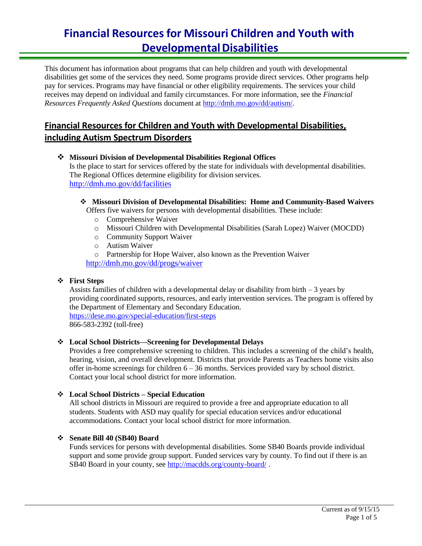This document has information about programs that can help children and youth with developmental disabilities get some of the services they need. Some programs provide direct services. Other programs help pay for services. Programs may have financial or other eligibility requirements. The services your child receives may depend on individual and family circumstances. For more information, see the *Financial Resources Frequently Asked Questions* document at [http://dmh.mo.gov/dd/autism/.](http://dmh.mo.gov/dd/autism/)

# **Financial Resources for Children and Youth with Developmental Disabilities, including Autism Spectrum Disorders**

 **Missouri Division of Developmental Disabilities Regional Offices** Is the place to start for services offered by the state for individuals with developmental disabilities. The Regional Offices determine eligibility for division services. <http://dmh.mo.gov/dd/facilities>

## **Missouri Division of Developmental Disabilities: Home and Community-Based Waivers**

Offers five waivers for persons with developmental disabilities. These include:

- o Comprehensive Waiver
- o Missouri Children with Developmental Disabilities (Sarah Lopez) Waiver (MOCDD)
- o Community Support Waiver
- o Autism Waiver

o Partnership for Hope Waiver, also known as the Prevention Waiver <http://dmh.mo.gov/dd/progs/waiver>

## **First Steps**

Assists families of children with a developmental delay or disability from birth – 3 years by providing coordinated supports, resources, and early intervention services. The program is offered by the Department of Elementary and Secondary Education. <https://dese.mo.gov/special-education/first-steps> 866-583-2392 (toll-free)

## **Local School Districts—Screening for Developmental Delays**

Provides a free comprehensive screening to children. This includes a screening of the child's health, hearing, vision, and overall development. Districts that provide Parents as Teachers home visits also offer in-home screenings for children 6 – 36 months. Services provided vary by school district. Contact your local school district for more information.

## **Local School Districts – Special Education**

All school districts in Missouri are required to provide a free and appropriate education to all students. Students with ASD may qualify for special education services and/or educational accommodations. Contact your local school district for more information.

## **Senate Bill 40 (SB40) Board**

Funds services for persons with developmental disabilities. Some SB40 Boards provide individual support and some provide group support. Funded services vary by county. To find out if there is an SB40 Board in your county, see <http://macdds.org/county-board/> .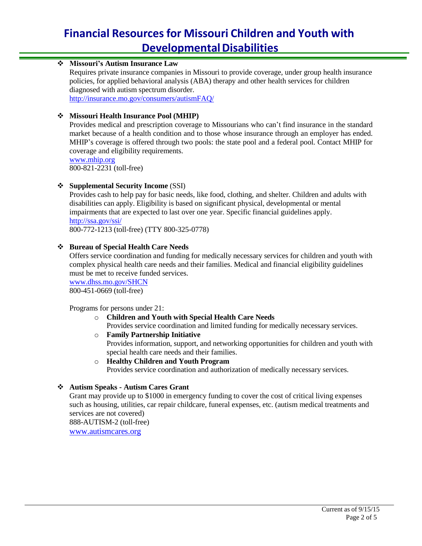## **Missouri's Autism Insurance Law**

Requires private insurance companies in Missouri to provide coverage, under group health insurance policies, for applied behavioral analysis (ABA) therapy and other health services for children diagnosed with autism spectrum disorder. <http://insurance.mo.gov/consumers/autismFAQ/>

#### **Missouri Health Insurance Pool (MHIP)**

Provides medical and prescription coverage to Missourians who can't find insurance in the standard market because of a health condition and to those whose insurance through an employer has ended. MHIP's coverage is offered through two pools: the state pool and a federal pool. Contact MHIP for coverage and eligibility requirements.

[www.mhip.org](http://www.mhip.org/) 800-821-2231 (toll-free)

## **Supplemental Security Income** (SSI)

Provides cash to help pay for basic needs, like food, clothing, and shelter. Children and adults with disabilities can apply. Eligibility is based on significant physical, developmental or mental impairments that are expected to last over one year. Specific financial guidelines apply. <http://ssa.gov/ssi/>

800-772-1213 (toll-free) (TTY 800-325-0778)

#### **Bureau of Special Health Care Needs**

Offers service coordination and funding for medically necessary services for children and youth with complex physical health care needs and their families. Medical and financial eligibility guidelines must be met to receive funded services.

[www.dhss.mo.gov/SHCN](http://www.dhss.mo.gov/SHCN) 800-451-0669 (toll-free)

#### Programs for persons under 21:

- o **Children and Youth with Special Health Care Needs** Provides service coordination and limited funding for medically necessary services.
- o **Family Partnership Initiative**

Provides information, support, and networking opportunities for children and youth with special health care needs and their families.

o **Healthy Children and Youth Program** Provides service coordination and authorization of medically necessary services.

## **Autism Speaks - Autism Cares Grant**

Grant may provide up to \$1000 in emergency funding to cover the cost of critical living expenses such as housing, utilities, car repair childcare, funeral expenses, etc. (autism medical treatments and services are not covered)

888-AUTISM-2 (toll-free) [www.autismcares.org](http://www.autismcares.org/)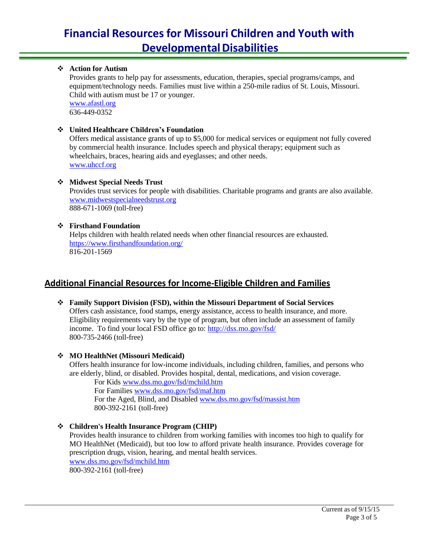## **Action for Autism**

Provides grants to help pay for assessments, education, therapies, special programs/camps, and equipment/technology needs. Families must live within a 250-mile radius of St. Louis, Missouri. Child with autism must be 17 or younger.

[www.afastl.org](http://www.afastl.org/) 636-449-0352

#### **United Healthcare Children's Foundation**

Offers medical assistance grants of up to \$5,000 for medical services or equipment not fully covered by commercial health insurance. Includes speech and physical therapy; equipment such as wheelchairs, braces, hearing aids and eyeglasses; and other needs. [www.uhccf.org](http://www.uhccf.org/)

## **Midwest Special Needs Trust**

Provides trust services for people with disabilities. Charitable programs and grants are also available. [www.midwestspecialneedstrust.org](http://www.midwestspecialneedstrust.org/) 888-671-1069 (toll-free)

## **Firsthand Foundation**

Helps children with health related needs when other financial resources are exhausted. <https://www.firsthandfoundation.org/> 816-201-1569

# **Additional Financial Resources for Income-Eligible Children and Families**

 **Family Support Division (FSD), within the Missouri Department of Social Services** Offers cash assistance, food stamps, energy assistance, access to health insurance, and more. Eligibility requirements vary by the type of program, but often include an assessment of family income. To find your local FSD office go to: <http://dss.mo.gov/fsd/> 800-735-2466 (toll-free)

#### **MO HealthNet (Missouri Medicaid)**

Offers health insurance for low-income individuals, including children, families, and persons who are elderly, blind, or disabled. Provides hospital, dental, medications, and vision coverage.

For Kids [www.dss.mo.gov/fsd/mchild.htm](http://www.dss.mo.gov/fsd/mchild.htm) For Families [www.dss.mo.gov/fsd/maf.htm](http://www.dss.mo.gov/fsd/maf.htm)

For the Aged, Blind, and Disabled [www.dss.mo.gov/fsd/massist.htm](http://www.dss.mo.gov/fsd/massist.htm) 800-392-2161 (toll-free)

 **Children's Health Insurance Program (CHIP)** Provides health insurance to children from working families with incomes too high to qualify for MO HealthNet (Medicaid), but too low to afford private health insurance. Provides coverage for prescription drugs, vision, hearing, and mental health services. [www.dss.mo.gov/fsd/mchild.htm](http://www.dss.mo.gov/fsd/mchild.htm) 800-392-2161 (toll-free)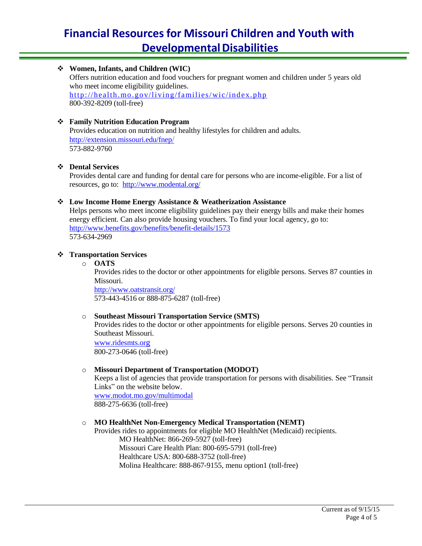**Women, Infants, and Children (WIC)** Offers nutrition education and food vouchers for pregnant women and children under 5 years old who meet income eligibility guidelines. <http://health.mo.gov/living/families/wic/index.php> 800-392-8209 (toll-free)

#### **Family Nutrition Education Program**

Provides education on nutrition and healthy lifestyles for children and adults. [http://extension.missouri.edu/fnep](http://extension.missouri.edu/fnep/)/ 573-882-9760

#### **Dental Services**

Provides dental care and funding for dental care for persons who are income-eligible. For a list of resources, go to: <http://www.modental.org/>

#### **Low Income Home Energy Assistance & Weatherization Assistance**

Helps persons who meet income eligibility guidelines pay their energy bills and make their homes energy efficient. Can also provide housing vouchers. To find your local agency, go to: <http://www.benefits.gov/benefits/benefit-details/1573> 573-634-2969

#### **Transportation Services**

o **OATS**

Provides rides to the doctor or other appointments for eligible persons. Serves 87 counties in Missouri.

<http://www.oatstransit.org/> 573-443-4516 or 888-875-6287 (toll-free)

#### o **Southeast Missouri Transportation Service (SMTS)**

Provides rides to the doctor or other appointments for eligible persons. Serves 20 counties in Southeast Missouri.

[www.ridesmts.or](http://www.ridesmts.org/)g 800-273-0646 (toll-free)

#### o **Missouri Department of Transportation (MODOT)**

Keeps a list of agencies that provide transportation for persons with disabilities. See "Transit Links" on the website below. [www.modot.mo.gov/multimodal](http://www.modot.mo.gov/multimodal) 888-275-6636 (toll-free)

#### o **MO HealthNet Non-Emergency Medical Transportation (NEMT)**

Provides rides to appointments for eligible MO HealthNet (Medicaid) recipients. MO HealthNet: 866-269-5927 (toll-free) Missouri Care Health Plan: 800-695-5791 (toll-free) Healthcare USA: 800-688-3752 (toll-free) Molina Healthcare: 888-867-9155, menu option1 (toll-free)